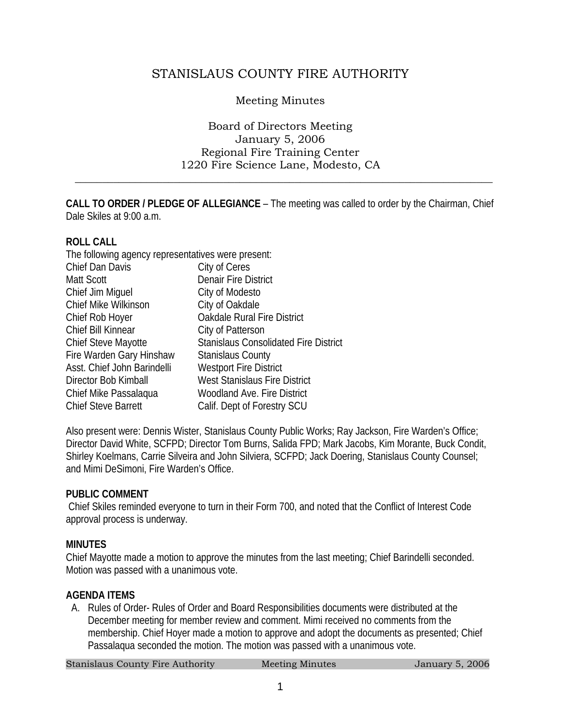# STANISLAUS COUNTY FIRE AUTHORITY

### Meeting Minutes

#### Board of Directors Meeting January 5, 2006 Regional Fire Training Center 1220 Fire Science Lane, Modesto, CA

 $\frac{1}{2}$  ,  $\frac{1}{2}$  ,  $\frac{1}{2}$  ,  $\frac{1}{2}$  ,  $\frac{1}{2}$  ,  $\frac{1}{2}$  ,  $\frac{1}{2}$  ,  $\frac{1}{2}$  ,  $\frac{1}{2}$  ,  $\frac{1}{2}$  ,  $\frac{1}{2}$  ,  $\frac{1}{2}$  ,  $\frac{1}{2}$  ,  $\frac{1}{2}$  ,  $\frac{1}{2}$  ,  $\frac{1}{2}$  ,  $\frac{1}{2}$  ,  $\frac{1}{2}$  ,  $\frac{1$ 

**CALL TO ORDER / PLEDGE OF ALLEGIANCE** – The meeting was called to order by the Chairman, Chief Dale Skiles at 9:00 a.m.

#### **ROLL CALL**

| The following agency representatives were present: |                                              |
|----------------------------------------------------|----------------------------------------------|
| Chief Dan Davis                                    | City of Ceres                                |
| Matt Scott                                         | <b>Denair Fire District</b>                  |
| Chief Jim Miguel                                   | City of Modesto                              |
| <b>Chief Mike Wilkinson</b>                        | City of Oakdale                              |
| Chief Rob Hoyer                                    | Oakdale Rural Fire District                  |
| Chief Bill Kinnear                                 | City of Patterson                            |
| <b>Chief Steve Mayotte</b>                         | <b>Stanislaus Consolidated Fire District</b> |
| Fire Warden Gary Hinshaw                           | <b>Stanislaus County</b>                     |
| Asst. Chief John Barindelli                        | <b>Westport Fire District</b>                |
| Director Bob Kimball                               | West Stanislaus Fire District                |
| Chief Mike Passalaqua                              | <b>Woodland Ave. Fire District</b>           |
| <b>Chief Steve Barrett</b>                         | Calif. Dept of Forestry SCU                  |

Also present were: Dennis Wister, Stanislaus County Public Works; Ray Jackson, Fire Warden's Office; Director David White, SCFPD; Director Tom Burns, Salida FPD; Mark Jacobs, Kim Morante, Buck Condit, Shirley Koelmans, Carrie Silveira and John Silviera, SCFPD; Jack Doering, Stanislaus County Counsel; and Mimi DeSimoni, Fire Warden's Office.

#### **PUBLIC COMMENT**

 Chief Skiles reminded everyone to turn in their Form 700, and noted that the Conflict of Interest Code approval process is underway.

#### **MINUTES**

Chief Mayotte made a motion to approve the minutes from the last meeting; Chief Barindelli seconded. Motion was passed with a unanimous vote.

#### **AGENDA ITEMS**

A. Rules of Order- Rules of Order and Board Responsibilities documents were distributed at the December meeting for member review and comment. Mimi received no comments from the membership. Chief Hoyer made a motion to approve and adopt the documents as presented; Chief Passalaqua seconded the motion. The motion was passed with a unanimous vote.

Stanislaus County Fire Authority Meeting Minutes 5, 2006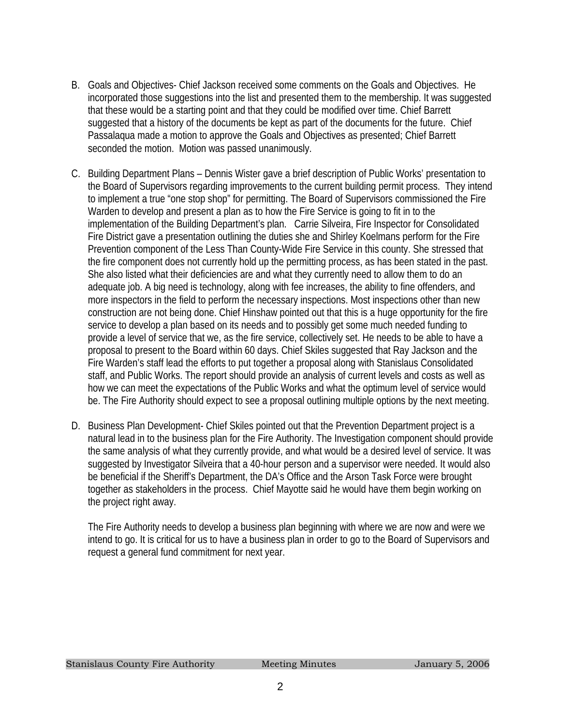- B. Goals and Objectives- Chief Jackson received some comments on the Goals and Objectives. He incorporated those suggestions into the list and presented them to the membership. It was suggested that these would be a starting point and that they could be modified over time. Chief Barrett suggested that a history of the documents be kept as part of the documents for the future. Chief Passalaqua made a motion to approve the Goals and Objectives as presented; Chief Barrett seconded the motion. Motion was passed unanimously.
- C. Building Department Plans Dennis Wister gave a brief description of Public Works' presentation to the Board of Supervisors regarding improvements to the current building permit process. They intend to implement a true "one stop shop" for permitting. The Board of Supervisors commissioned the Fire Warden to develop and present a plan as to how the Fire Service is going to fit in to the implementation of the Building Department's plan. Carrie Silveira, Fire Inspector for Consolidated Fire District gave a presentation outlining the duties she and Shirley Koelmans perform for the Fire Prevention component of the Less Than County-Wide Fire Service in this county. She stressed that the fire component does not currently hold up the permitting process, as has been stated in the past. She also listed what their deficiencies are and what they currently need to allow them to do an adequate job. A big need is technology, along with fee increases, the ability to fine offenders, and more inspectors in the field to perform the necessary inspections. Most inspections other than new construction are not being done. Chief Hinshaw pointed out that this is a huge opportunity for the fire service to develop a plan based on its needs and to possibly get some much needed funding to provide a level of service that we, as the fire service, collectively set. He needs to be able to have a proposal to present to the Board within 60 days. Chief Skiles suggested that Ray Jackson and the Fire Warden's staff lead the efforts to put together a proposal along with Stanislaus Consolidated staff, and Public Works. The report should provide an analysis of current levels and costs as well as how we can meet the expectations of the Public Works and what the optimum level of service would be. The Fire Authority should expect to see a proposal outlining multiple options by the next meeting.
- D. Business Plan Development- Chief Skiles pointed out that the Prevention Department project is a natural lead in to the business plan for the Fire Authority. The Investigation component should provide the same analysis of what they currently provide, and what would be a desired level of service. It was suggested by Investigator Silveira that a 40-hour person and a supervisor were needed. It would also be beneficial if the Sheriff's Department, the DA's Office and the Arson Task Force were brought together as stakeholders in the process. Chief Mayotte said he would have them begin working on the project right away.

The Fire Authority needs to develop a business plan beginning with where we are now and were we intend to go. It is critical for us to have a business plan in order to go to the Board of Supervisors and request a general fund commitment for next year.